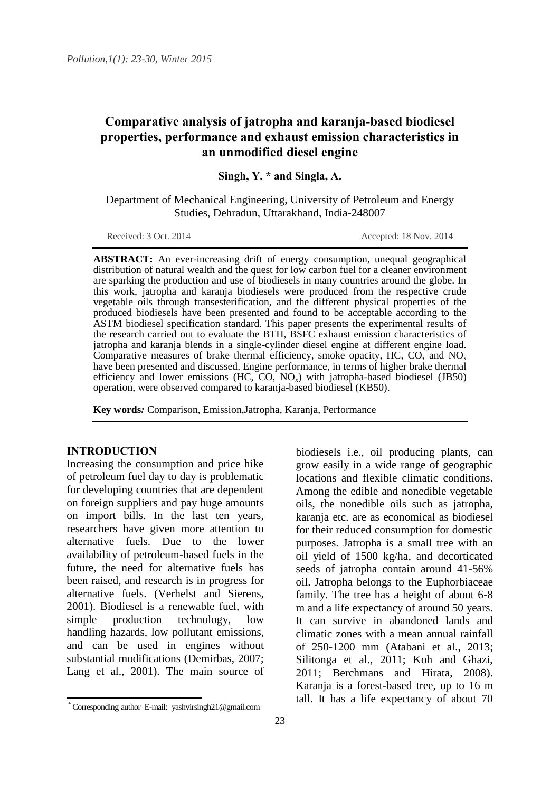# **Comparative analysis of jatropha and karanja-based biodiesel properties, performance and exhaust emission characteristics in an unmodified diesel engine**

**Singh, Y. \* and Singla, A.**

Department of Mechanical Engineering, University of Petroleum and Energy Studies, Dehradun, Uttarakhand, India-248007

Received: 3 Oct. 2014 Accepted: 18 Nov. 2014

**ABSTRACT:** An ever-increasing drift of energy consumption, unequal geographical distribution of natural wealth and the quest for low carbon fuel for a cleaner environment are sparking the production and use of biodiesels in many countries around the globe. In this work, jatropha and karanja biodiesels were produced from the respective crude vegetable oils through transesterification, and the different physical properties of the produced biodiesels have been presented and found to be acceptable according to the ASTM biodiesel specification standard. This paper presents the experimental results of the research carried out to evaluate the BTH, BSFC exhaust emission characteristics of jatropha and karanja blends in a single-cylinder diesel engine at different engine load. Comparative measures of brake thermal efficiency, smoke opacity, HC, CO, and  $NO<sub>x</sub>$ have been presented and discussed. Engine performance, in terms of higher brake thermal efficiency and lower emissions (HC,  $CO$ ,  $NO<sub>x</sub>$ ) with jatropha-based biodiesel (JB50) operation, were observed compared to karanja-based biodiesel (KB50).

**Key words***:* Comparison, Emission,Jatropha, Karanja, Performance

#### **INTRODUCTION**

 $\overline{\phantom{a}}$ 

Increasing the consumption and price hike of petroleum fuel day to day is problematic for developing countries that are dependent on foreign suppliers and pay huge amounts on import bills. In the last ten years, researchers have given more attention to alternative fuels. Due to the lower availability of petroleum-based fuels in the future, the need for alternative fuels has been raised, and research is in progress for alternative fuels. (Verhelst and Sierens, 2001). Biodiesel is a renewable fuel, with simple production technology, low handling hazards, low pollutant emissions, and can be used in engines without substantial modifications (Demirbas, 2007; Lang et al., 2001). The main source of

\* Corresponding author E-mail: yashvirsingh21@gmail.com

biodiesels i.e., oil producing plants, can grow easily in a wide range of geographic locations and flexible climatic conditions. Among the edible and nonedible vegetable oils, the nonedible oils such as jatropha, karanja etc. are as economical as biodiesel for their reduced consumption for domestic purposes. Jatropha is a small tree with an oil yield of 1500 kg/ha, and decorticated seeds of jatropha contain around 41-56% oil. Jatropha belongs to the Euphorbiaceae family. The tree has a height of about 6-8 m and a life expectancy of around 50 years. It can survive in abandoned lands and climatic zones with a mean annual rainfall of 250-1200 mm (Atabani et al., 2013; Silitonga et al., 2011; Koh and Ghazi, 2011; Berchmans and Hirata, 2008). Karanja is a forest-based tree, up to 16 m tall. It has a life expectancy of about 70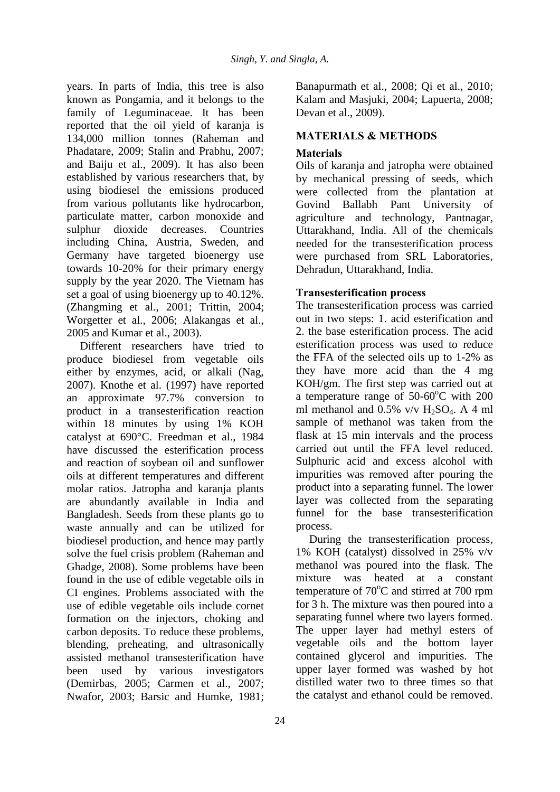years. In parts of India, this tree is also known as Pongamia, and it belongs to the family of Leguminaceae. It has been reported that the oil yield of karanja is 134,000 million tonnes (Raheman and Phadatare, 2009; Stalin and Prabhu, 2007; and Baiju et al., 2009). It has also been established by various researchers that, by using biodiesel the emissions produced from various pollutants like hydrocarbon, particulate matter, carbon monoxide and sulphur dioxide decreases. Countries including China, Austria, Sweden, and Germany have targeted bioenergy use towards 10-20% for their primary energy supply by the year 2020. The Vietnam has set a goal of using bioenergy up to 40.12%. (Zhangming et al., 2001; Trittin, 2004; Worgetter et al., 2006; Alakangas et al., 2005 and Kumar et al., 2003).

Different researchers have tried to produce biodiesel from vegetable oils either by enzymes, acid, or alkali (Nag, 2007). Knothe et al. (1997) have reported an approximate 97.7% conversion to product in a transesterification reaction within 18 minutes by using 1% KOH catalyst at 690°C. Freedman et al., 1984 have discussed the esterification process and reaction of soybean oil and sunflower oils at different temperatures and different molar ratios. Jatropha and karanja plants are abundantly available in India and Bangladesh. Seeds from these plants go to waste annually and can be utilized for biodiesel production, and hence may partly solve the fuel crisis problem (Raheman and Ghadge, 2008). Some problems have been found in the use of edible vegetable oils in CI engines. Problems associated with the use of edible vegetable oils include cornet formation on the injectors, choking and carbon deposits. To reduce these problems, blending, preheating, and ultrasonically assisted methanol transesterification have been used by various investigators (Demirbas, 2005; Carmen et al., 2007; Nwafor, 2003; Barsic and Humke, 1981;

Banapurmath et al., 2008; Qi et al., 2010; Kalam and Masjuki, 2004; Lapuerta, 2008; Devan et al., 2009).

# **MATERIALS & METHODS**

# **Materials**

Oils of karanja and jatropha were obtained by mechanical pressing of seeds, which were collected from the plantation at Govind Ballabh Pant University of agriculture and technology, Pantnagar, Uttarakhand, India. All of the chemicals needed for the transesterification process were purchased from SRL Laboratories, Dehradun, Uttarakhand, India.

## **Transesterification process**

The transesterification process was carried out in two steps: 1. acid esterification and 2. the base esterification process. The acid esterification process was used to reduce the FFA of the selected oils up to 1-2% as they have more acid than the 4 mg KOH/gm. The first step was carried out at a temperature range of  $50{\text -}60^{\circ}$ C with 200 ml methanol and  $0.5\%$  v/v  $H_2SO_4$ . A 4 ml sample of methanol was taken from the flask at 15 min intervals and the process carried out until the FFA level reduced. Sulphuric acid and excess alcohol with impurities was removed after pouring the product into a separating funnel. The lower layer was collected from the separating funnel for the base transesterification process.

During the transesterification process, 1% KOH (catalyst) dissolved in 25% v/v methanol was poured into the flask. The mixture was heated at a constant temperature of  $70^{\circ}$ C and stirred at 700 rpm for 3 h. The mixture was then poured into a separating funnel where two layers formed. The upper layer had methyl esters of vegetable oils and the bottom layer contained glycerol and impurities. The upper layer formed was washed by hot distilled water two to three times so that the catalyst and ethanol could be removed.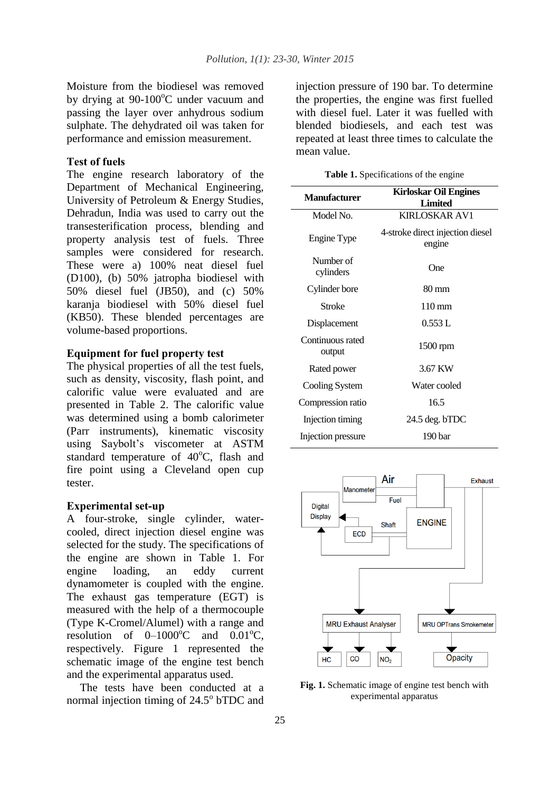Moisture from the biodiesel was removed by drying at  $90-100^{\circ}$ C under vacuum and passing the layer over anhydrous sodium sulphate. The dehydrated oil was taken for performance and emission measurement.

## **Test of fuels**

The engine research laboratory of the Department of Mechanical Engineering, University of Petroleum & Energy Studies, Dehradun, India was used to carry out the transesterification process, blending and property analysis test of fuels. Three samples were considered for research. These were a) 100% neat diesel fuel (D100), (b) 50% jatropha biodiesel with 50% diesel fuel (JB50), and (c) 50% karanja biodiesel with 50% diesel fuel (KB50). These blended percentages are volume-based proportions.

## **Equipment for fuel property test**

The physical properties of all the test fuels, such as density, viscosity, flash point, and calorific value were evaluated and are presented in Table 2. The calorific value was determined using a bomb calorimeter (Parr instruments), kinematic viscosity using Saybolt's viscometer at ASTM standard temperature of  $40^{\circ}$ C, flash and fire point using a Cleveland open cup tester.

### **Experimental set-up**

A four-stroke, single cylinder, watercooled, direct injection diesel engine was selected for the study. The specifications of the engine are shown in Table 1. For engine loading, an eddy current dynamometer is coupled with the engine. The exhaust gas temperature (EGT) is measured with the help of a thermocouple (Type K-Cromel/Alumel) with a range and resolution of  $0-1000^{\circ}$ C and  $0.01^{\circ}$ C, respectively. Figure 1 represented the schematic image of the engine test bench and the experimental apparatus used.

The tests have been conducted at a normal injection timing of  $24.5^\circ$  bTDC and injection pressure of 190 bar. To determine the properties, the engine was first fuelled with diesel fuel. Later it was fuelled with blended biodiesels, and each test was repeated at least three times to calculate the mean value.

**Table 1.** Specifications of the engine

| <b>Manufacturer</b>        | <b>Kirloskar Oil Engines</b>               |  |  |  |  |
|----------------------------|--------------------------------------------|--|--|--|--|
|                            | <b>Limited</b>                             |  |  |  |  |
| Model No.                  | <b>KIRLOSKAR AV1</b>                       |  |  |  |  |
| Engine Type                | 4-stroke direct injection diesel<br>engine |  |  |  |  |
| Number of<br>cylinders     | One                                        |  |  |  |  |
| Cylinder bore              | 80 mm                                      |  |  |  |  |
| Stroke                     | $110 \text{ mm}$                           |  |  |  |  |
| Displacement               | 0.553L                                     |  |  |  |  |
| Continuous rated<br>output | 1500 rpm                                   |  |  |  |  |
| Rated power                | 3.67 KW                                    |  |  |  |  |
| Cooling System             | Water cooled                               |  |  |  |  |
| Compression ratio          | 16.5                                       |  |  |  |  |
| Injection timing           | $24.5$ deg. bTDC                           |  |  |  |  |
| Injection pressure         | 190 bar                                    |  |  |  |  |
|                            |                                            |  |  |  |  |



**Fig. 1.** Schematic image of engine test bench with experimental apparatus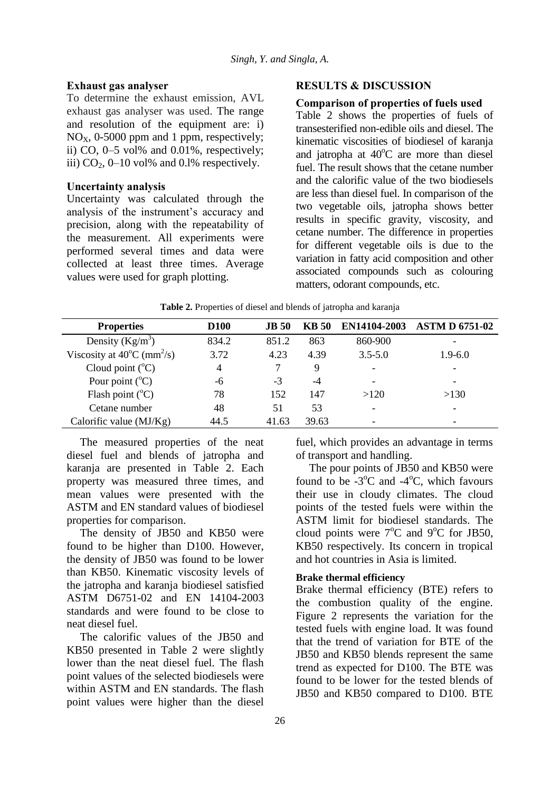## **Exhaust gas analyser**

To determine the exhaust emission, AVL exhaust gas analyser was used. The range and resolution of the equipment are: i)  $NO<sub>X</sub>$ , 0-5000 ppm and 1 ppm, respectively; ii) CO, 0–5 vol% and 0.01%, respectively; iii)  $CO<sub>2</sub>$ , 0–10 vol% and 0.1% respectively.

## **Uncertainty analysis**

Uncertainty was calculated through the analysis of the instrument's accuracy and precision, along with the repeatability of the measurement. All experiments were performed several times and data were collected at least three times. Average values were used for graph plotting.

## **RESULTS & DISCUSSION**

## **Comparison of properties of fuels used**

Table 2 shows the properties of fuels of transesterified non-edible oils and diesel. The kinematic viscosities of biodiesel of karanja and jatropha at  $40^{\circ}$ C are more than diesel fuel. The result shows that the cetane number and the calorific value of the two biodiesels are less than diesel fuel. In comparison of the two vegetable oils, jatropha shows better results in specific gravity, viscosity, and cetane number. The difference in properties for different vegetable oils is due to the variation in fatty acid composition and other associated compounds such as colouring matters, odorant compounds, etc.

| <b>D100</b>    | <b>JB</b> 50 | <b>KB</b> 50 | EN14104-2003             | <b>ASTM D 6751-02</b>    |
|----------------|--------------|--------------|--------------------------|--------------------------|
| 834.2          | 851.2        | 863          | 860-900                  |                          |
| 3.72           | 4.23         | 4.39         | $3.5 - 5.0$              | $1.9 - 6.0$              |
| $\overline{4}$ |              | 9            | $\overline{\phantom{0}}$ | $\overline{\phantom{a}}$ |
| -6             | $-3$         | $-4$         |                          | $\overline{\phantom{a}}$ |
| 78             | 152          | 147          | >120                     | >130                     |
| 48             | 51           | 53           | $\overline{\phantom{0}}$ | $\overline{\phantom{0}}$ |
| 44.5           | 41.63        | 39.63        | -                        | $\overline{\phantom{a}}$ |
|                |              |              |                          |                          |

**Table 2.** Properties of diesel and blends of jatropha and karanja

The measured properties of the neat diesel fuel and blends of jatropha and karanja are presented in Table 2. Each property was measured three times, and mean values were presented with the ASTM and EN standard values of biodiesel properties for comparison.

The density of JB50 and KB50 were found to be higher than D100. However, the density of JB50 was found to be lower than KB50. Kinematic viscosity levels of the jatropha and karanja biodiesel satisfied ASTM D6751-02 and EN 14104-2003 standards and were found to be close to neat diesel fuel.

The calorific values of the JB50 and KB50 presented in Table 2 were slightly lower than the neat diesel fuel. The flash point values of the selected biodiesels were within ASTM and EN standards. The flash point values were higher than the diesel

fuel, which provides an advantage in terms of transport and handling.

The pour points of JB50 and KB50 were found to be  $-3$ <sup>o</sup>C and  $-4$ <sup>o</sup>C, which favours their use in cloudy climates. The cloud points of the tested fuels were within the ASTM limit for biodiesel standards. The cloud points were  $7^{\circ}$ C and  $9^{\circ}$ C for JB50, KB50 respectively. Its concern in tropical and hot countries in Asia is limited.

#### **Brake thermal efficiency**

Brake thermal efficiency (BTE) refers to the combustion quality of the engine. Figure 2 represents the variation for the tested fuels with engine load. It was found that the trend of variation for BTE of the JB50 and KB50 blends represent the same trend as expected for D100. The BTE was found to be lower for the tested blends of JB50 and KB50 compared to D100. BTE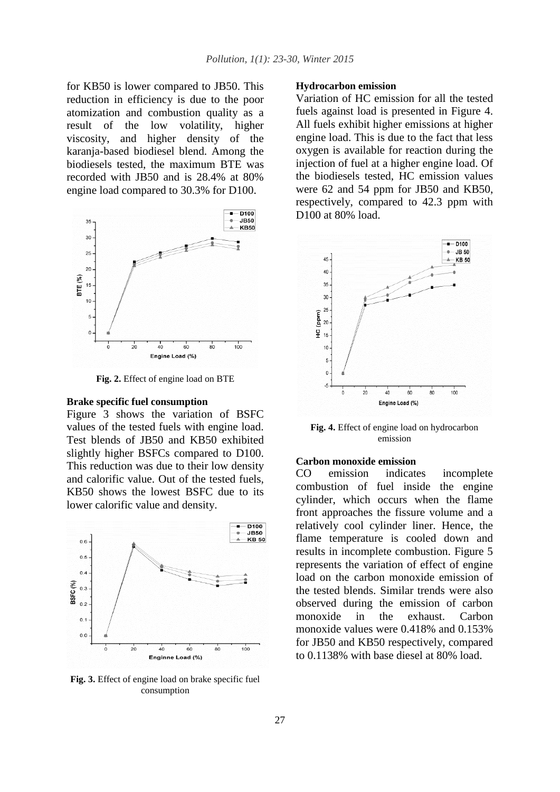for KB50 is lower compared to JB50. This reduction in efficiency is due to the poor atomization and combustion quality as a result of the low volatility, higher viscosity, and higher density of the karanja-based biodiesel blend. Among the biodiesels tested, the maximum BTE was recorded with JB50 and is 28.4% at 80% engine load compared to 30.3% for D100.



**Fig. 2.** Effect of engine load on BTE

### **Brake specific fuel consumption**

Figure 3 shows the variation of BSFC values of the tested fuels with engine load. Test blends of JB50 and KB50 exhibited slightly higher BSFCs compared to D100. This reduction was due to their low density and calorific value. Out of the tested fuels, KB50 shows the lowest BSFC due to its lower calorific value and density.



**Fig. 3.** Effect of engine load on brake specific fuel consumption

### **Hydrocarbon emission**

Variation of HC emission for all the tested fuels against load is presented in Figure 4. All fuels exhibit higher emissions at higher engine load. This is due to the fact that less oxygen is available for reaction during the injection of fuel at a higher engine load. Of the biodiesels tested, HC emission values were 62 and 54 ppm for JB50 and KB50, respectively, compared to 42.3 ppm with D100 at 80% load.



**Fig. 4.** Effect of engine load on hydrocarbon emission

### **Carbon monoxide emission**

CO emission indicates incomplete combustion of fuel inside the engine cylinder, which occurs when the flame front approaches the fissure volume and a relatively cool cylinder liner. Hence, the flame temperature is cooled down and results in incomplete combustion. Figure 5 represents the variation of effect of engine load on the carbon monoxide emission of the tested blends. Similar trends were also observed during the emission of carbon monoxide in the exhaust. Carbon monoxide values were 0.418% and 0.153% for JB50 and KB50 respectively, compared to 0.1138% with base diesel at 80% load.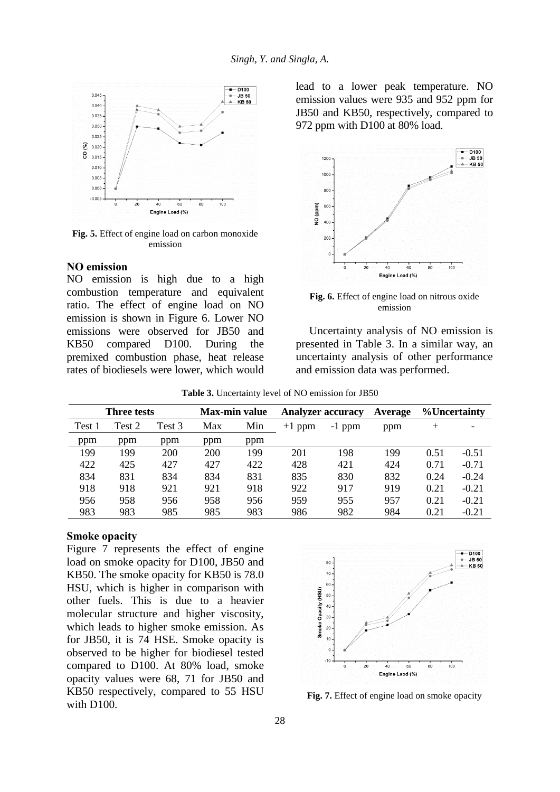

**Fig. 5.** Effect of engine load on carbon monoxide emission

### **NO emission**

NO emission is high due to a high combustion temperature and equivalent ratio. The effect of engine load on NO emission is shown in Figure 6. Lower NO emissions were observed for JB50 and KB50 compared D100. During the premixed combustion phase, heat release rates of biodiesels were lower, which would lead to a lower peak temperature. NO emission values were 935 and 952 ppm for JB50 and KB50, respectively, compared to 972 ppm with D100 at 80% load.



**Fig. 6.** Effect of engine load on nitrous oxide emission

Uncertainty analysis of NO emission is presented in Table 3. In a similar way, an uncertainty analysis of other performance and emission data was performed.

**Table 3.** Uncertainty level of NO emission for JB50

| Three tests |        | <b>Max-min value</b> |     | <b>Analyzer accuracy</b> |          | Average  | <b>%Uncertainty</b> |        |         |
|-------------|--------|----------------------|-----|--------------------------|----------|----------|---------------------|--------|---------|
| Test 1      | Test 2 | Test 3               | Max | Min                      | $+1$ ppm | $-1$ ppm | ppm                 | $^{+}$ |         |
| ppm         | ppm    | ppm                  | ppm | ppm                      |          |          |                     |        |         |
| 199         | 199    | 200                  | 200 | 199                      | 201      | 198      | 199                 | 0.51   | $-0.51$ |
| 422         | 425    | 427                  | 427 | 422                      | 428      | 421      | 424                 | 0.71   | $-0.71$ |
| 834         | 831    | 834                  | 834 | 831                      | 835      | 830      | 832                 | 0.24   | $-0.24$ |
| 918         | 918    | 921                  | 921 | 918                      | 922      | 917      | 919                 | 0.21   | $-0.21$ |
| 956         | 958    | 956                  | 958 | 956                      | 959      | 955      | 957                 | 0.21   | $-0.21$ |
| 983         | 983    | 985                  | 985 | 983                      | 986      | 982      | 984                 | 0.21   | $-0.21$ |

## **Smoke opacity**

Figure 7 represents the effect of engine load on smoke opacity for D100, JB50 and KB50. The smoke opacity for KB50 is 78.0 HSU, which is higher in comparison with other fuels. This is due to a heavier molecular structure and higher viscosity, which leads to higher smoke emission. As for JB50, it is 74 HSE. Smoke opacity is observed to be higher for biodiesel tested compared to D100. At 80% load, smoke opacity values were 68, 71 for JB50 and KB50 respectively, compared to 55 HSU with D100.



**Fig. 7.** Effect of engine load on smoke opacity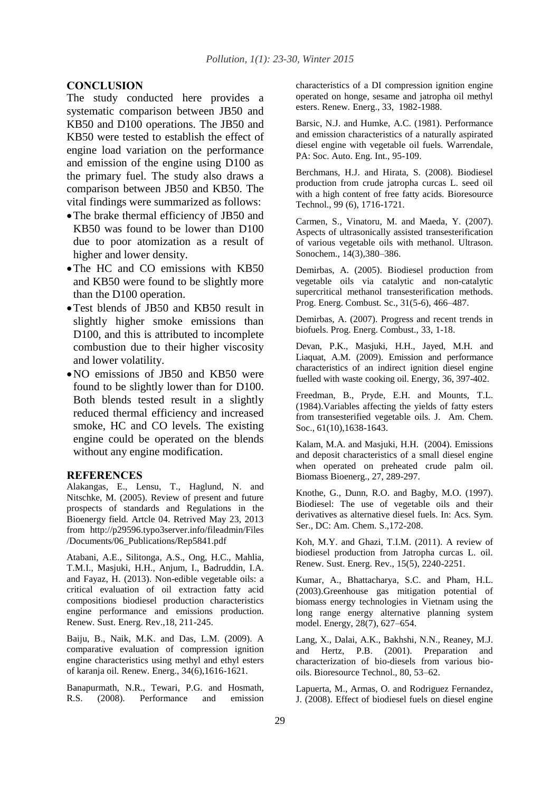## **CONCLUSION**

The study conducted here provides a systematic comparison between JB50 and KB50 and D100 operations. The JB50 and KB50 were tested to establish the effect of engine load variation on the performance and emission of the engine using D100 as the primary fuel. The study also draws a comparison between JB50 and KB50. The vital findings were summarized as follows:

- The brake thermal efficiency of JB50 and KB50 was found to be lower than D100 due to poor atomization as a result of higher and lower density.
- The HC and CO emissions with KB50 and KB50 were found to be slightly more than the D100 operation.
- Test blends of JB50 and KB50 result in slightly higher smoke emissions than D100, and this is attributed to incomplete combustion due to their higher viscosity and lower volatility.
- NO emissions of JB50 and KB50 were found to be slightly lower than for D100. Both blends tested result in a slightly reduced thermal efficiency and increased smoke, HC and CO levels. The existing engine could be operated on the blends without any engine modification.

#### **REFERENCES**

Alakangas, E., Lensu, T., Haglund, N. and Nitschke, M. (2005). Review of present and future prospects of standards and Regulations in the Bioenergy field. Artcle 04. Retrived May 23, 2013 from http://p29596.typo3server.info/fileadmin/Files /Documents/06\_Publications/Rep5841.pdf

Atabani, A.E., Silitonga, A.S., Ong, H.C., Mahlia, T.M.I., Masjuki, H.H., Anjum, I., Badruddin, I.A. and Fayaz, H. (2013). Non-edible vegetable oils: a critical evaluation of oil extraction fatty acid compositions biodiesel production characteristics engine performance and emissions production. Renew. Sust. Energ. Rev.,18, 211-245.

Baiju, B., Naik, M.K. and Das, L.M. (2009). A comparative evaluation of compression ignition engine characteristics using methyl and ethyl esters of karanja oil. Renew. Energ., 34(6),1616-1621.

Banapurmath, N.R., Tewari, P.G. and Hosmath, R.S. (2008). Performance and emission characteristics of a DI compression ignition engine operated on honge, sesame and jatropha oil methyl esters. Renew. Energ., 33, 1982-1988.

Barsic, N.J. and Humke, A.C. (1981). Performance and emission characteristics of a naturally aspirated diesel engine with vegetable oil fuels. Warrendale, PA: Soc. Auto. Eng. Int., 95-109.

Berchmans, H.J. and Hirata, S. (2008). Biodiesel production from crude jatropha curcas L. seed oil with a high content of free fatty acids. Bioresource Technol., 99 (6), 1716-1721.

Carmen, S., Vinatoru, M. and Maeda, Y. (2007). Aspects of ultrasonically assisted transesterification of various vegetable oils with methanol. Ultrason. Sonochem., 14(3),380–386.

Demirbas, A. (2005). Biodiesel production from vegetable oils via catalytic and non-catalytic supercritical methanol transesterification methods. Prog. Energ. Combust. Sc., 31(5-6), 466–487.

Demirbas, A. (2007). Progress and recent trends in biofuels. Prog. Energ. Combust., 33, 1-18.

Devan, P.K., Masjuki, H.H., Jayed, M.H. and Liaquat, A.M. (2009). Emission and performance characteristics of an indirect ignition diesel engine fuelled with waste cooking oil. Energy, 36, 397-402.

Freedman, B., Pryde, E.H. and Mounts, T.L. (1984).Variables affecting the yields of fatty esters from transesterified vegetable oils. J. Am. Chem. Soc., 61(10),1638-1643.

Kalam, M.A. and Masjuki, H.H. (2004). Emissions and deposit characteristics of a small diesel engine when operated on preheated crude palm oil. Biomass Bioenerg., 27, 289-297.

Knothe, G., Dunn, R.O. and Bagby, M.O. (1997). Biodiesel: The use of vegetable oils and their derivatives as alternative diesel fuels. In: Acs. Sym. Ser., DC: Am. Chem. S.,172-208.

Koh, M.Y. and Ghazi, T.I.M. (2011). A review of biodiesel production from Jatropha curcas L. oil. Renew. Sust. Energ. Rev., 15(5), 2240-2251.

Kumar, A., Bhattacharya, S.C. and Pham, H.L. (2003).Greenhouse gas mitigation potential of biomass energy technologies in Vietnam using the long range energy alternative planning system model. Energy, 28(7), 627–654.

Lang, X., Dalai, A.K., Bakhshi, N.N., Reaney, M.J. and Hertz, P.B. (2001). Preparation and characterization of bio-diesels from various biooils. Bioresource Technol., 80, 53–62.

Lapuerta, M., Armas, O. and Rodriguez Fernandez, J. (2008). Effect of biodiesel fuels on diesel engine